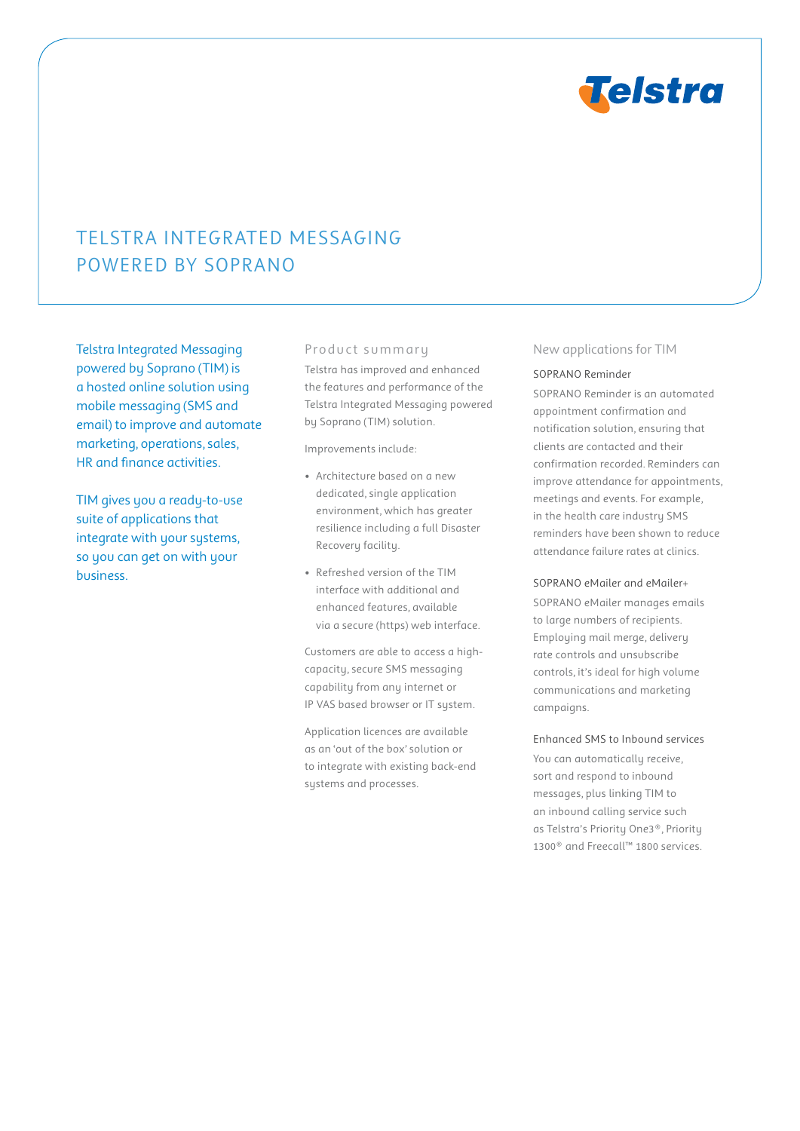

# Telstra Integrated Messaging powered by Soprano

Telstra Integrated Messaging powered by Soprano (TIM) is a hosted online solution using mobile messaging (SMS and email) to improve and automate marketing, operations, sales, HR and finance activities.

TIM gives you a ready-to-use suite of applications that integrate with your systems, so you can get on with your business.

### Product summary

Telstra has improved and enhanced the features and performance of the Telstra Integrated Messaging powered by Soprano (TIM) solution.

Improvements include:

- Architecture based on a new dedicated, single application environment, which has greater resilience including a full Disaster Recovery facility.
- Refreshed version of the TIM interface with additional and enhanced features, available via a secure (https) web interface.

Customers are able to access a highcapacity, secure SMS messaging capability from any internet or IP VAS based browser or IT system.

Application licences are available as an 'out of the box' solution or to integrate with existing back-end systems and processes.

#### New applications for TIM

#### SOPRANO Reminder

SOPRANO Reminder is an automated appointment confirmation and notification solution, ensuring that clients are contacted and their confirmation recorded. Reminders can improve attendance for appointments, meetings and events. For example, in the health care industry SMS reminders have been shown to reduce attendance failure rates at clinics.

SOPRANO eMailer and eMailer+

SOPRANO eMailer manages emails to large numbers of recipients. Employing mail merge, delivery rate controls and unsubscribe controls, it's ideal for high volume communications and marketing campaigns.

Enhanced SMS to Inbound services

You can automatically receive, sort and respond to inbound messages, plus linking TIM to an inbound calling service such as Telstra's Priority One3®, Priority 1300® and Freecall™ 1800 services.